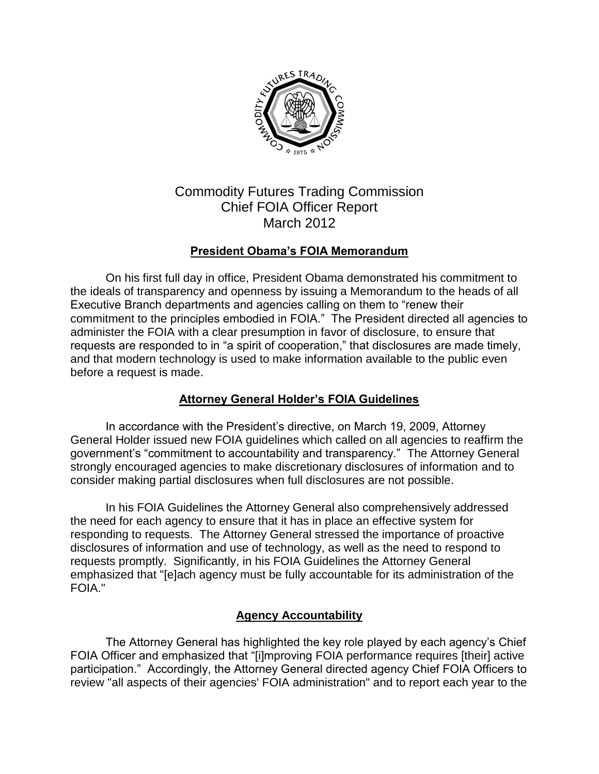

# Commodity Futures Trading Commission Chief FOIA Officer Report March 2012

# **President Obama's FOIA Memorandum**

On his first full day in office, President Obama demonstrated his commitment to the ideals of transparency and openness by issuing a Memorandum to the heads of all Executive Branch departments and agencies calling on them to "renew their commitment to the principles embodied in FOIA." The President directed all agencies to administer the FOIA with a clear presumption in favor of disclosure, to ensure that requests are responded to in "a spirit of cooperation," that disclosures are made timely, and that modern technology is used to make information available to the public even before a request is made.

# **Attorney General Holder's FOIA Guidelines**

In accordance with the President's directive, on March 19, 2009, Attorney General Holder issued new FOIA guidelines which called on all agencies to reaffirm the government's "commitment to accountability and transparency." The Attorney General strongly encouraged agencies to make discretionary disclosures of information and to consider making partial disclosures when full disclosures are not possible.

In his FOIA Guidelines the Attorney General also comprehensively addressed the need for each agency to ensure that it has in place an effective system for responding to requests. The Attorney General stressed the importance of proactive disclosures of information and use of technology, as well as the need to respond to requests promptly. Significantly, in his FOIA Guidelines the Attorney General emphasized that "[e]ach agency must be fully accountable for its administration of the FOIA."

# **Agency Accountability**

The Attorney General has highlighted the key role played by each agency's Chief FOIA Officer and emphasized that "[i]mproving FOIA performance requires [their] active participation." Accordingly, the Attorney General directed agency Chief FOIA Officers to review "all aspects of their agencies' FOIA administration" and to report each year to the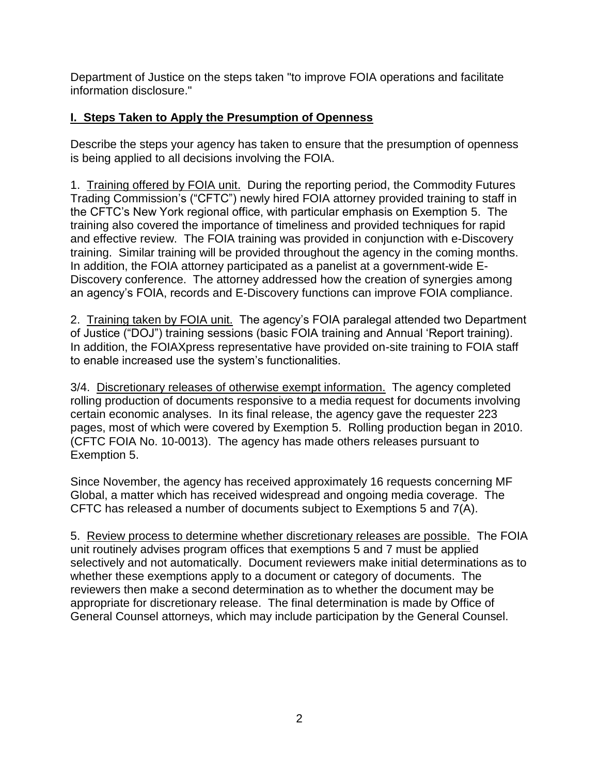Department of Justice on the steps taken "to improve FOIA operations and facilitate information disclosure."

# **I. Steps Taken to Apply the Presumption of Openness**

Describe the steps your agency has taken to ensure that the presumption of openness is being applied to all decisions involving the FOIA.

1. Training offered by FOIA unit. During the reporting period, the Commodity Futures Trading Commission's ("CFTC") newly hired FOIA attorney provided training to staff in the CFTC's New York regional office, with particular emphasis on Exemption 5. The training also covered the importance of timeliness and provided techniques for rapid and effective review. The FOIA training was provided in conjunction with e-Discovery training. Similar training will be provided throughout the agency in the coming months. In addition, the FOIA attorney participated as a panelist at a government-wide E-Discovery conference. The attorney addressed how the creation of synergies among an agency's FOIA, records and E-Discovery functions can improve FOIA compliance.

2. Training taken by FOIA unit. The agency's FOIA paralegal attended two Department of Justice ("DOJ") training sessions (basic FOIA training and Annual 'Report training). In addition, the FOIAXpress representative have provided on-site training to FOIA staff to enable increased use the system's functionalities.

3/4. Discretionary releases of otherwise exempt information. The agency completed rolling production of documents responsive to a media request for documents involving certain economic analyses. In its final release, the agency gave the requester 223 pages, most of which were covered by Exemption 5. Rolling production began in 2010. (CFTC FOIA No. 10-0013). The agency has made others releases pursuant to Exemption 5.

Since November, the agency has received approximately 16 requests concerning MF Global, a matter which has received widespread and ongoing media coverage. The CFTC has released a number of documents subject to Exemptions 5 and 7(A).

5. Review process to determine whether discretionary releases are possible. The FOIA unit routinely advises program offices that exemptions 5 and 7 must be applied selectively and not automatically. Document reviewers make initial determinations as to whether these exemptions apply to a document or category of documents. The reviewers then make a second determination as to whether the document may be appropriate for discretionary release. The final determination is made by Office of General Counsel attorneys, which may include participation by the General Counsel.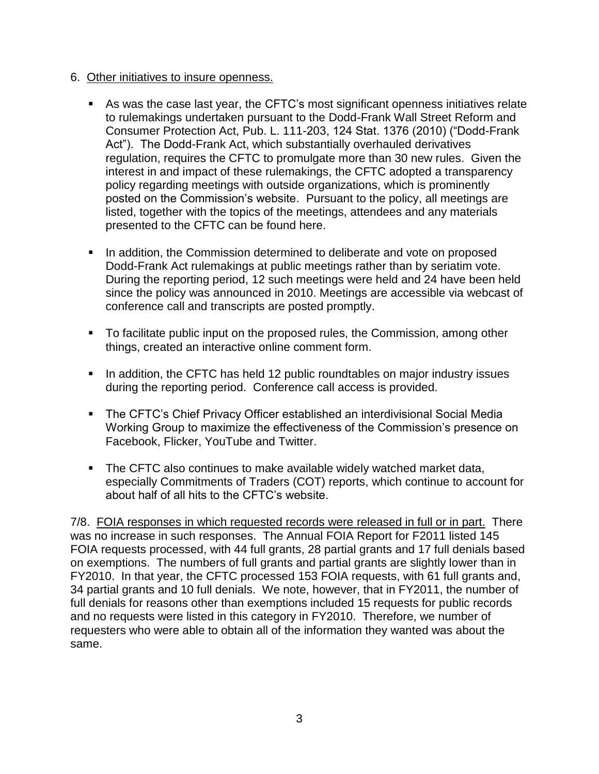#### 6. Other initiatives to insure openness.

- As was the case last year, the CFTC's most significant openness initiatives relate to rulemakings undertaken pursuant to the Dodd-Frank Wall Street Reform and Consumer Protection Act, Pub. L. 111-203, 124 Stat. 1376 (2010) ("Dodd-Frank Act"). The Dodd-Frank Act, which substantially overhauled derivatives regulation, requires the CFTC to promulgate more than 30 new rules. Given the interest in and impact of these rulemakings, the CFTC adopted a transparency policy regarding meetings with outside organizations, which is prominently posted on the Commission's website. Pursuant to the policy, all meetings are listed, together with the topics of the meetings, attendees and any materials presented to the CFTC can be found here.
- In addition, the Commission determined to deliberate and vote on proposed Dodd-Frank Act rulemakings at public meetings rather than by seriatim vote. During the reporting period, 12 such meetings were held and 24 have been held since the policy was announced in 2010. Meetings are accessible via webcast of conference call and transcripts are posted promptly.
- To facilitate public input on the proposed rules, the Commission, among other things, created an interactive online comment form.
- In addition, the CFTC has held 12 public roundtables on major industry issues during the reporting period. Conference call access is provided.
- The CFTC's Chief Privacy Officer established an interdivisional Social Media Working Group to maximize the effectiveness of the Commission's presence on Facebook, Flicker, YouTube and Twitter.
- **The CFTC also continues to make available widely watched market data,** especially Commitments of Traders (COT) reports, which continue to account for about half of all hits to the CFTC's website.

7/8. FOIA responses in which requested records were released in full or in part. There was no increase in such responses. The Annual FOIA Report for F2011 listed 145 FOIA requests processed, with 44 full grants, 28 partial grants and 17 full denials based on exemptions. The numbers of full grants and partial grants are slightly lower than in FY2010. In that year, the CFTC processed 153 FOIA requests, with 61 full grants and, 34 partial grants and 10 full denials. We note, however, that in FY2011, the number of full denials for reasons other than exemptions included 15 requests for public records and no requests were listed in this category in FY2010. Therefore, we number of requesters who were able to obtain all of the information they wanted was about the same.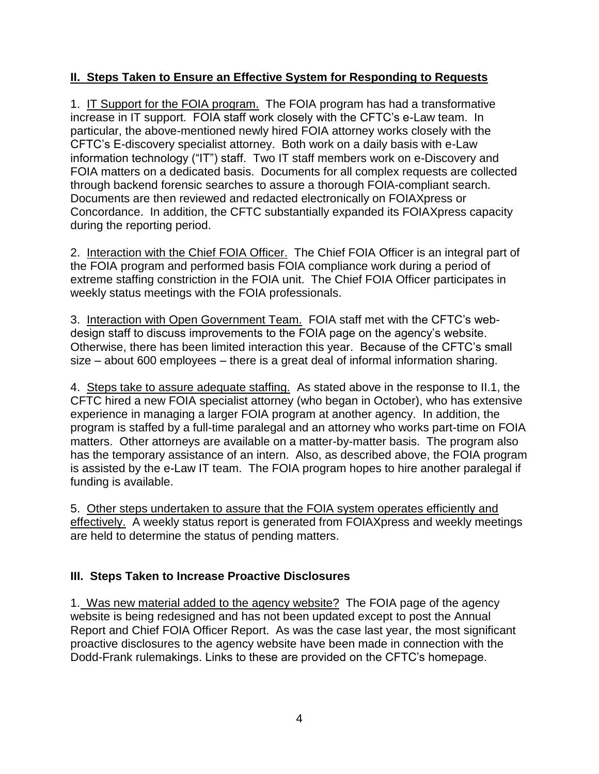# **II. Steps Taken to Ensure an Effective System for Responding to Requests**

1. IT Support for the FOIA program. The FOIA program has had a transformative increase in IT support. FOIA staff work closely with the CFTC's e-Law team. In particular, the above-mentioned newly hired FOIA attorney works closely with the CFTC's E-discovery specialist attorney. Both work on a daily basis with e-Law information technology ("IT") staff. Two IT staff members work on e-Discovery and FOIA matters on a dedicated basis. Documents for all complex requests are collected through backend forensic searches to assure a thorough FOIA-compliant search. Documents are then reviewed and redacted electronically on FOIAXpress or Concordance. In addition, the CFTC substantially expanded its FOIAXpress capacity during the reporting period.

2. Interaction with the Chief FOIA Officer. The Chief FOIA Officer is an integral part of the FOIA program and performed basis FOIA compliance work during a period of extreme staffing constriction in the FOIA unit. The Chief FOIA Officer participates in weekly status meetings with the FOIA professionals.

3. Interaction with Open Government Team. FOIA staff met with the CFTC's webdesign staff to discuss improvements to the FOIA page on the agency's website. Otherwise, there has been limited interaction this year. Because of the CFTC's small size – about 600 employees – there is a great deal of informal information sharing.

4. Steps take to assure adequate staffing. As stated above in the response to II.1, the CFTC hired a new FOIA specialist attorney (who began in October), who has extensive experience in managing a larger FOIA program at another agency. In addition, the program is staffed by a full-time paralegal and an attorney who works part-time on FOIA matters. Other attorneys are available on a matter-by-matter basis. The program also has the temporary assistance of an intern. Also, as described above, the FOIA program is assisted by the e-Law IT team. The FOIA program hopes to hire another paralegal if funding is available.

5. Other steps undertaken to assure that the FOIA system operates efficiently and effectively. A weekly status report is generated from FOIAXpress and weekly meetings are held to determine the status of pending matters.

# **III. Steps Taken to Increase Proactive Disclosures**

1. Was new material added to the agency website? The FOIA page of the agency website is being redesigned and has not been updated except to post the Annual Report and Chief FOIA Officer Report. As was the case last year, the most significant proactive disclosures to the agency website have been made in connection with the Dodd-Frank rulemakings. Links to these are provided on the CFTC's homepage.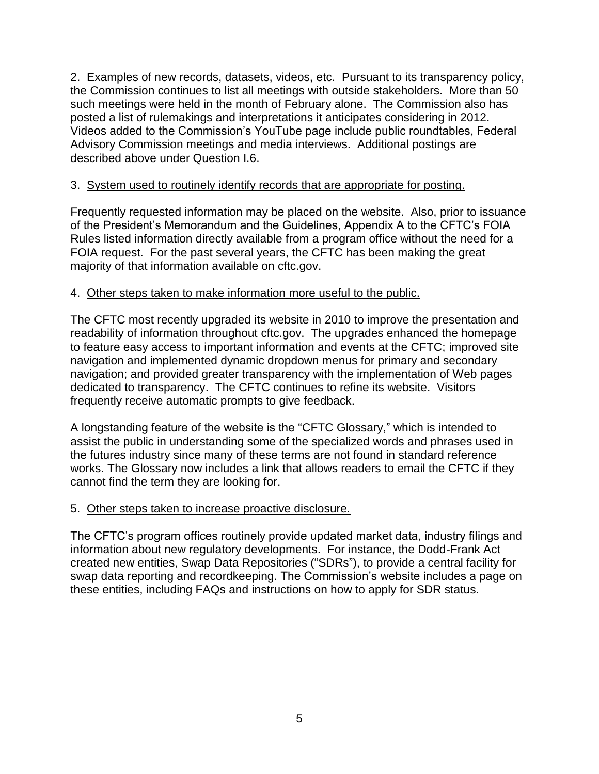2. Examples of new records, datasets, videos, etc. Pursuant to its transparency policy, the Commission continues to list all meetings with outside stakeholders. More than 50 such meetings were held in the month of February alone. The Commission also has posted a list of rulemakings and interpretations it anticipates considering in 2012. Videos added to the Commission's YouTube page include public roundtables, Federal Advisory Commission meetings and media interviews. Additional postings are described above under Question I.6.

# 3. System used to routinely identify records that are appropriate for posting.

Frequently requested information may be placed on the website. Also, prior to issuance of the President's Memorandum and the Guidelines, Appendix A to the CFTC's FOIA Rules listed information directly available from a program office without the need for a FOIA request. For the past several years, the CFTC has been making the great majority of that information available on cftc.gov.

# 4. Other steps taken to make information more useful to the public.

The CFTC most recently upgraded its website in 2010 to improve the presentation and readability of information throughout cftc.gov. The upgrades enhanced the homepage to feature easy access to important information and events at the CFTC; improved site navigation and implemented dynamic dropdown menus for primary and secondary navigation; and provided greater transparency with the implementation of Web pages dedicated to transparency. The CFTC continues to refine its website. Visitors frequently receive automatic prompts to give feedback.

A longstanding feature of the website is the "CFTC Glossary," which is intended to assist the public in understanding some of the specialized words and phrases used in the futures industry since many of these terms are not found in standard reference works. The Glossary now includes a link that allows readers to email the CFTC if they cannot find the term they are looking for.

#### 5. Other steps taken to increase proactive disclosure.

The CFTC's program offices routinely provide updated market data, industry filings and information about new regulatory developments. For instance, the Dodd-Frank Act created new entities, Swap Data Repositories ("SDRs"), to provide a central facility for swap data reporting and recordkeeping. The Commission's website includes a page on these entities, including FAQs and instructions on how to apply for SDR status.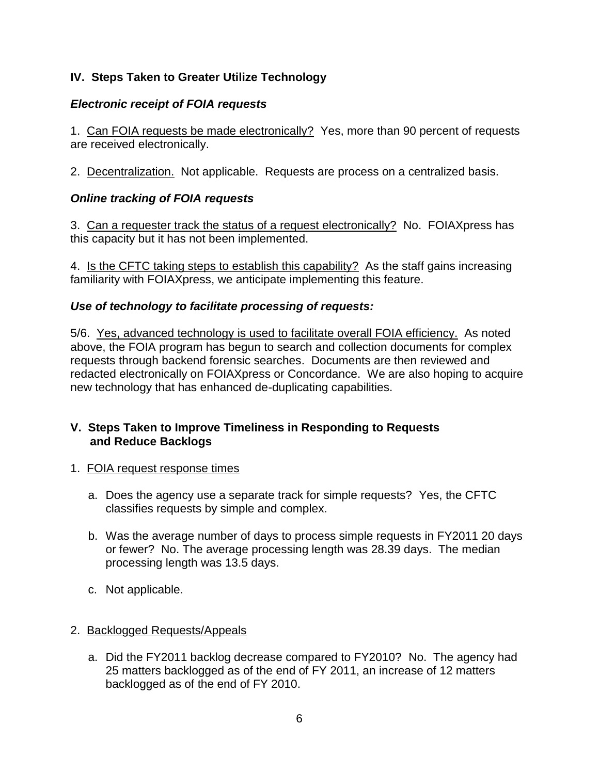# **IV. Steps Taken to Greater Utilize Technology**

# *Electronic receipt of FOIA requests*

1. Can FOIA requests be made electronically? Yes, more than 90 percent of requests are received electronically.

2. Decentralization. Not applicable. Requests are process on a centralized basis.

### *Online tracking of FOIA requests*

3. Can a requester track the status of a request electronically? No. FOIAXpress has this capacity but it has not been implemented.

4. Is the CFTC taking steps to establish this capability? As the staff gains increasing familiarity with FOIAXpress, we anticipate implementing this feature.

### *Use of technology to facilitate processing of requests:*

5/6. Yes, advanced technology is used to facilitate overall FOIA efficiency. As noted above, the FOIA program has begun to search and collection documents for complex requests through backend forensic searches. Documents are then reviewed and redacted electronically on FOIAXpress or Concordance. We are also hoping to acquire new technology that has enhanced de-duplicating capabilities.

### **V. Steps Taken to Improve Timeliness in Responding to Requests and Reduce Backlogs**

- 1. FOIA request response times
	- a. Does the agency use a separate track for simple requests? Yes, the CFTC classifies requests by simple and complex.
	- b. Was the average number of days to process simple requests in FY2011 20 days or fewer? No. The average processing length was 28.39 days. The median processing length was 13.5 days.
	- c. Not applicable.

#### 2. Backlogged Requests/Appeals

a. Did the FY2011 backlog decrease compared to FY2010? No. The agency had 25 matters backlogged as of the end of FY 2011, an increase of 12 matters backlogged as of the end of FY 2010.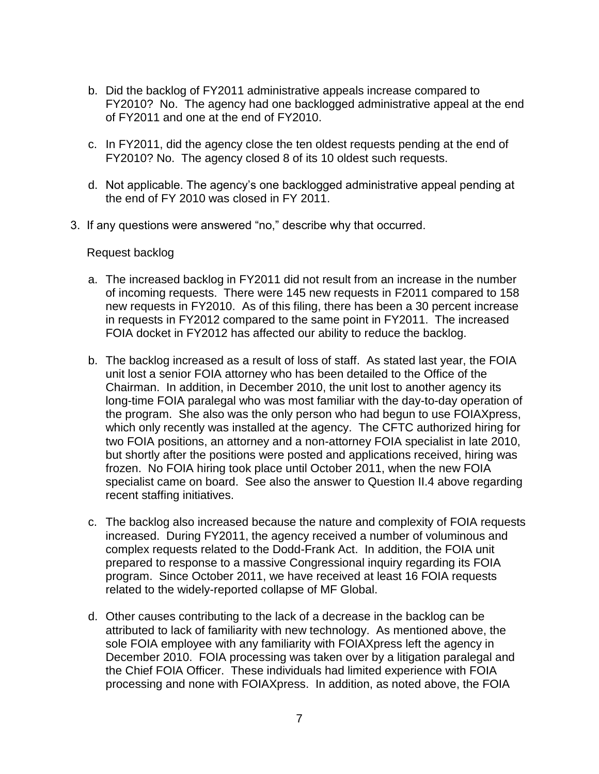- b. Did the backlog of FY2011 administrative appeals increase compared to FY2010? No. The agency had one backlogged administrative appeal at the end of FY2011 and one at the end of FY2010.
- c. In FY2011, did the agency close the ten oldest requests pending at the end of FY2010? No. The agency closed 8 of its 10 oldest such requests.
- d. Not applicable. The agency's one backlogged administrative appeal pending at the end of FY 2010 was closed in FY 2011.
- 3. If any questions were answered "no," describe why that occurred.

#### Request backlog

- a. The increased backlog in FY2011 did not result from an increase in the number of incoming requests. There were 145 new requests in F2011 compared to 158 new requests in FY2010. As of this filing, there has been a 30 percent increase in requests in FY2012 compared to the same point in FY2011. The increased FOIA docket in FY2012 has affected our ability to reduce the backlog.
- b. The backlog increased as a result of loss of staff. As stated last year, the FOIA unit lost a senior FOIA attorney who has been detailed to the Office of the Chairman. In addition, in December 2010, the unit lost to another agency its long-time FOIA paralegal who was most familiar with the day-to-day operation of the program. She also was the only person who had begun to use FOIAXpress, which only recently was installed at the agency. The CFTC authorized hiring for two FOIA positions, an attorney and a non-attorney FOIA specialist in late 2010, but shortly after the positions were posted and applications received, hiring was frozen. No FOIA hiring took place until October 2011, when the new FOIA specialist came on board. See also the answer to Question II.4 above regarding recent staffing initiatives.
- c. The backlog also increased because the nature and complexity of FOIA requests increased. During FY2011, the agency received a number of voluminous and complex requests related to the Dodd-Frank Act. In addition, the FOIA unit prepared to response to a massive Congressional inquiry regarding its FOIA program. Since October 2011, we have received at least 16 FOIA requests related to the widely-reported collapse of MF Global.
- d. Other causes contributing to the lack of a decrease in the backlog can be attributed to lack of familiarity with new technology. As mentioned above, the sole FOIA employee with any familiarity with FOIAXpress left the agency in December 2010. FOIA processing was taken over by a litigation paralegal and the Chief FOIA Officer. These individuals had limited experience with FOIA processing and none with FOIAXpress. In addition, as noted above, the FOIA